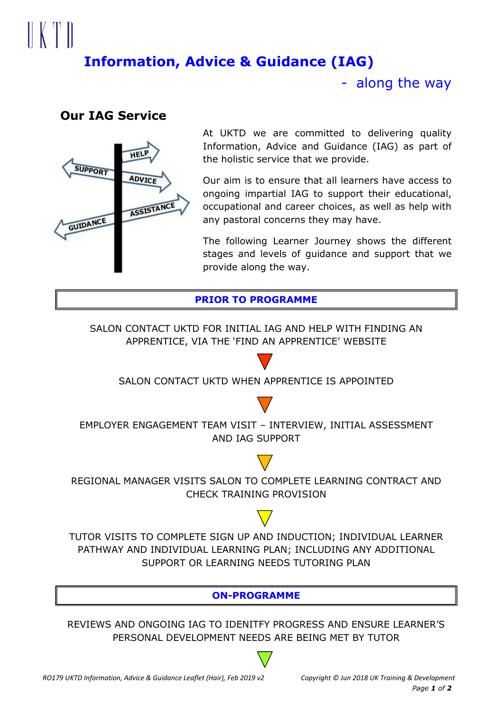# $\parallel \mid \mid \mid \mid$ **Information, Advice & Guidance (IAG)**

- along the way

# **Our IAG Service**



At UKTD we are committed to delivering quality Information, Advice and Guidance (IAG) as part of the holistic service that we provide.

Our aim is to ensure that all learners have access to ongoing impartial IAG to support their educational, occupational and career choices, as well as help with any pastoral concerns they may have.

The following Learner Journey shows the different stages and levels of guidance and support that we provide along the way.

# **PRIOR TO PROGRAMME**

SALON CONTACT UKTD FOR INITIAL IAG AND HELP WITH FINDING AN APPRENTICE, VIA THE 'FIND AN APPRENTICE' WEBSITE

SALON CONTACT UKTD WHEN APPRENTICE IS APPOINTED



EMPLOYER ENGAGEMENT TEAM VISIT – INTERVIEW, INITIAL ASSESSMENT AND IAG SUPPORT



REGIONAL MANAGER VISITS SALON TO COMPLETE LEARNING CONTRACT AND CHECK TRAINING PROVISION

TUTOR VISITS TO COMPLETE SIGN UP AND INDUCTION; INDIVIDUAL LEARNER PATHWAY AND INDIVIDUAL LEARNING PLAN; INCLUDING ANY ADDITIONAL SUPPORT OR LEARNING NEEDS TUTORING PLAN

**ON-PROGRAMME**

REVIEWS AND ONGOING IAG TO IDENITFY PROGRESS AND ENSURE LEARNER'S PERSONAL DEVELOPMENT NEEDS ARE BEING MET BY TUTOR